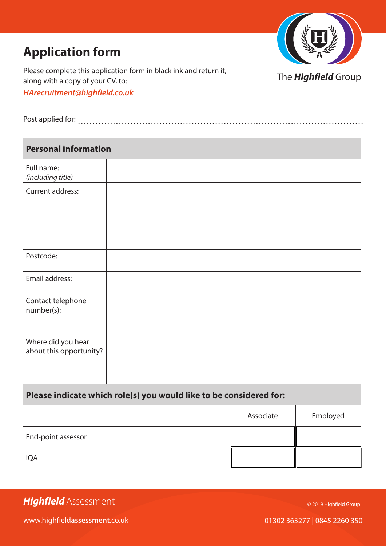

Please complete this application form in black ink and return it, along with a copy of your CV, to: *HArecruitment@highfield.co.uk*

The *Highfield* Group

| Post applied for: |  |  |  |  |
|-------------------|--|--|--|--|
|                   |  |  |  |  |

| <b>Personal information</b>                   |  |  |
|-----------------------------------------------|--|--|
| Full name:<br>(including title)               |  |  |
| Current address:                              |  |  |
| Postcode:                                     |  |  |
| Email address:                                |  |  |
| Contact telephone<br>number(s):               |  |  |
| Where did you hear<br>about this opportunity? |  |  |

### **Please indicate which role(s) you would like to be considered for:**

|                    | Associate | Employed |
|--------------------|-----------|----------|
| End-point assessor |           |          |
| <b>IQA</b>         |           |          |

© 2019 Highfield Group

www.highfield**assessment**.co.uk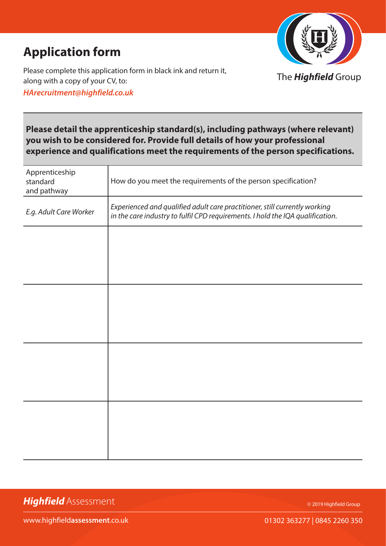

Please complete this application form in black ink and return it, along with a copy of your CV, to: *HArecruitment@highfield.co.uk*

The *Highfield* Group

### **Please detail the apprenticeship standard(s), including pathways (where relevant) you wish to be considered for. Provide full details of how your professional experience and qualifications meet the requirements of the person specifications.**

| Apprenticeship<br>standard<br>and pathway | How do you meet the requirements of the person specification?                                                                                                |
|-------------------------------------------|--------------------------------------------------------------------------------------------------------------------------------------------------------------|
| E.g. Adult Care Worker                    | Experienced and qualified adult care practitioner, still currently working<br>in the care industry to fulfil CPD requirements. I hold the IQA qualification. |
|                                           |                                                                                                                                                              |
|                                           |                                                                                                                                                              |
|                                           |                                                                                                                                                              |
|                                           |                                                                                                                                                              |
|                                           |                                                                                                                                                              |
|                                           |                                                                                                                                                              |
|                                           |                                                                                                                                                              |
|                                           |                                                                                                                                                              |

*Highfield* Assessment

© 2019 Highfield Group

www.highfield**assessment**.co.uk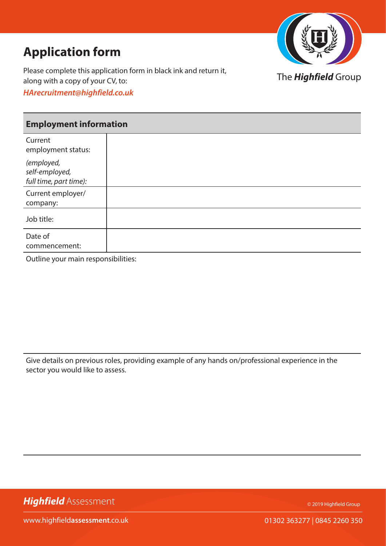

Please complete this application form in black ink and return it, along with a copy of your CV, to: *HArecruitment@highfield.co.uk*

### The *Highfield* Group

### **Employment information**

| Current<br>employment status:                          |  |
|--------------------------------------------------------|--|
| (employed,<br>self-employed,<br>full time, part time): |  |
| Current employer/<br>company:                          |  |
| Job title:                                             |  |
| Date of<br>commencement:                               |  |

Outline your main responsibilities:

Give details on previous roles, providing example of any hands on/professional experience in the sector you would like to assess.

*Highfield* Assessment

© 2019 Highfield Group

www.highfield**assessment**.co.uk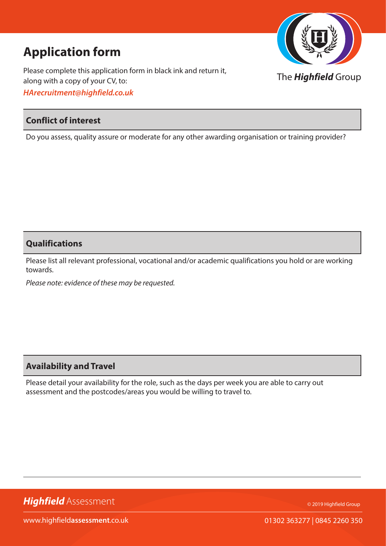Please complete this application form in black ink and return it, along with a copy of your CV, to: *HArecruitment@highfield.co.uk*

### **Conflict of interest**

Do you assess, quality assure or moderate for any other awarding organisation or training provider?

### **Qualifications**

Please list all relevant professional, vocational and/or academic qualifications you hold or are working towards.

*Please note: evidence of these may be requested.*

### **Availability and Travel**

Please detail your availability for the role, such as the days per week you are able to carry out assessment and the postcodes/areas you would be willing to travel to.

© 2019 Highfield Group



www.highfield**assessment**.co.uk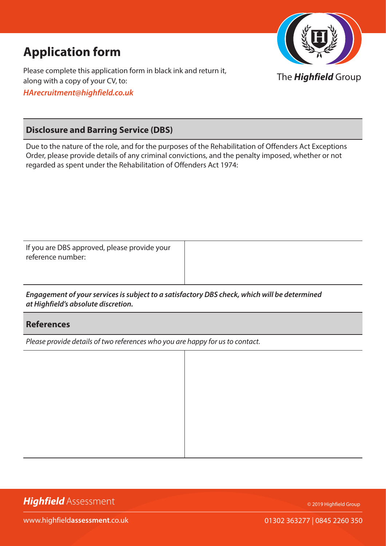



#### **Disclosure and Barring Service (DBS)**

Due to the nature of the role, and for the purposes of the Rehabilitation of Offenders Act Exceptions Order, please provide details of any criminal convictions, and the penalty imposed, whether or not regarded as spent under the Rehabilitation of Offenders Act 1974:

If you are DBS approved, please provide your reference number:

*Engagement of your services is subject to a satisfactory DBS check, which will be determined at Highfield's absolute discretion.*

#### **References**

*Please provide details of two references who you are happy for us to contact.*

*Highfield* Assessment

© 2019 Highfield Group

www.highfield**assessment**.co.uk